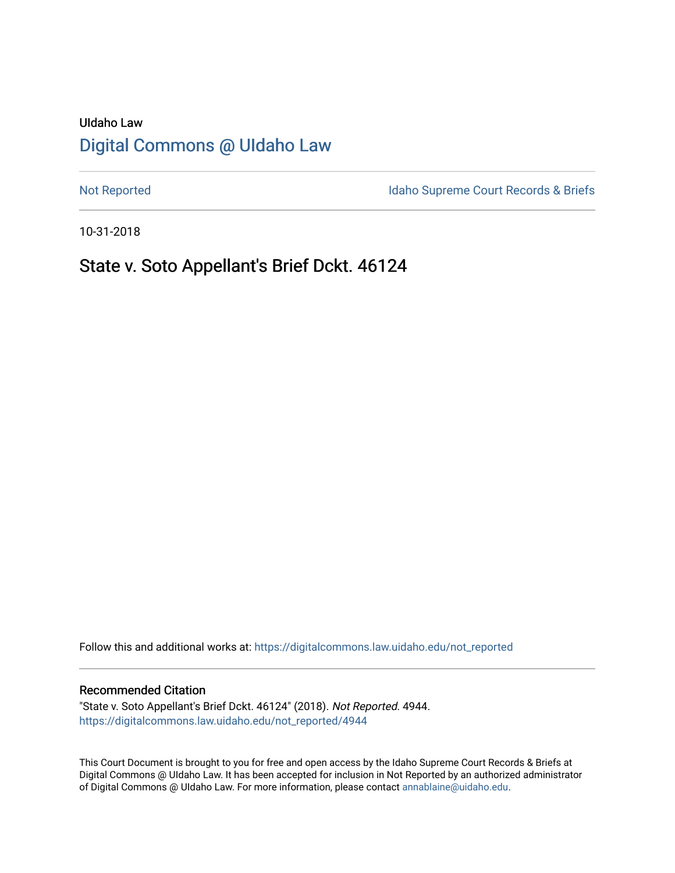# UIdaho Law [Digital Commons @ UIdaho Law](https://digitalcommons.law.uidaho.edu/)

[Not Reported](https://digitalcommons.law.uidaho.edu/not_reported) **Idaho Supreme Court Records & Briefs** 

10-31-2018

## State v. Soto Appellant's Brief Dckt. 46124

Follow this and additional works at: [https://digitalcommons.law.uidaho.edu/not\\_reported](https://digitalcommons.law.uidaho.edu/not_reported?utm_source=digitalcommons.law.uidaho.edu%2Fnot_reported%2F4944&utm_medium=PDF&utm_campaign=PDFCoverPages) 

### Recommended Citation

"State v. Soto Appellant's Brief Dckt. 46124" (2018). Not Reported. 4944. [https://digitalcommons.law.uidaho.edu/not\\_reported/4944](https://digitalcommons.law.uidaho.edu/not_reported/4944?utm_source=digitalcommons.law.uidaho.edu%2Fnot_reported%2F4944&utm_medium=PDF&utm_campaign=PDFCoverPages)

This Court Document is brought to you for free and open access by the Idaho Supreme Court Records & Briefs at Digital Commons @ UIdaho Law. It has been accepted for inclusion in Not Reported by an authorized administrator of Digital Commons @ UIdaho Law. For more information, please contact [annablaine@uidaho.edu](mailto:annablaine@uidaho.edu).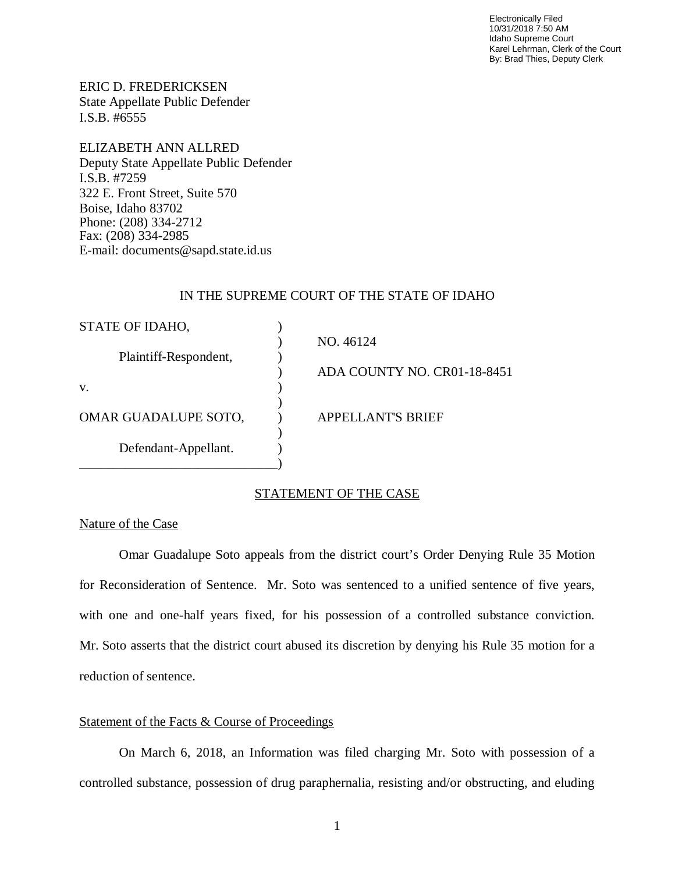Electronically Filed 10/31/2018 7:50 AM Idaho Supreme Court Karel Lehrman, Clerk of the Court By: Brad Thies, Deputy Clerk

ERIC D. FREDERICKSEN State Appellate Public Defender I.S.B. #6555

ELIZABETH ANN ALLRED Deputy State Appellate Public Defender I.S.B. #7259 322 E. Front Street, Suite 570 Boise, Idaho 83702 Phone: (208) 334-2712 Fax: (208) 334-2985 E-mail: documents@sapd.state.id.us

## IN THE SUPREME COURT OF THE STATE OF IDAHO

| STATE OF IDAHO,       |                             |
|-----------------------|-----------------------------|
|                       | NO. 46124                   |
| Plaintiff-Respondent, |                             |
|                       | ADA COUNTY NO. CR01-18-8451 |
| V.                    |                             |
|                       |                             |
| OMAR GUADALUPE SOTO,  | <b>APPELLANT'S BRIEF</b>    |
|                       |                             |
| Defendant-Appellant.  |                             |
|                       |                             |

## STATEMENT OF THE CASE

### Nature of the Case

Omar Guadalupe Soto appeals from the district court's Order Denying Rule 35 Motion for Reconsideration of Sentence. Mr. Soto was sentenced to a unified sentence of five years, with one and one-half years fixed, for his possession of a controlled substance conviction. Mr. Soto asserts that the district court abused its discretion by denying his Rule 35 motion for a reduction of sentence.

## Statement of the Facts & Course of Proceedings

On March 6, 2018, an Information was filed charging Mr. Soto with possession of a controlled substance, possession of drug paraphernalia, resisting and/or obstructing, and eluding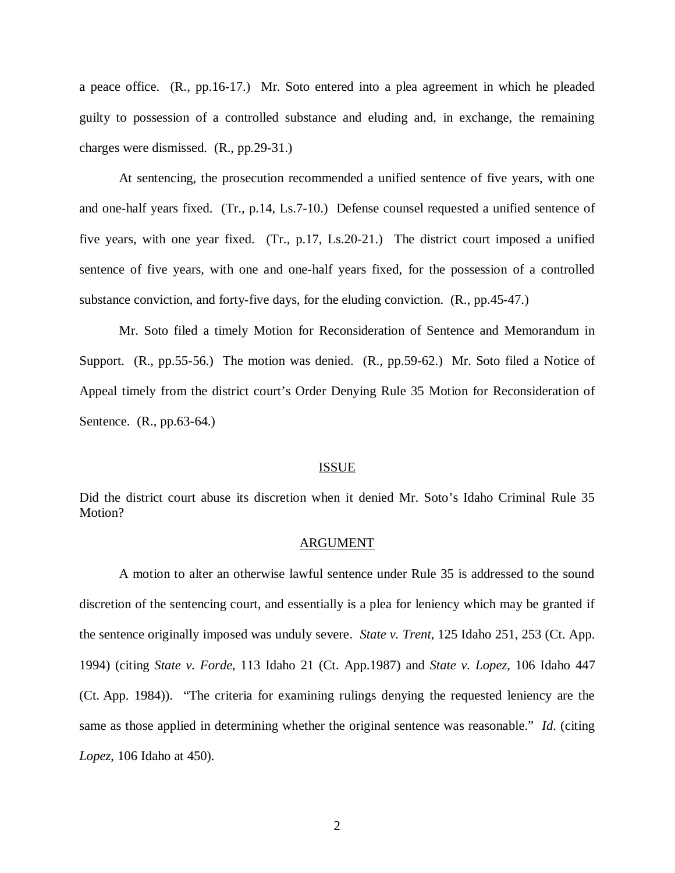a peace office. (R., pp.16-17.) Mr. Soto entered into a plea agreement in which he pleaded guilty to possession of a controlled substance and eluding and, in exchange, the remaining charges were dismissed. (R., pp.29-31.)

At sentencing, the prosecution recommended a unified sentence of five years, with one and one-half years fixed. (Tr., p.14, Ls.7-10.) Defense counsel requested a unified sentence of five years, with one year fixed. (Tr., p.17, Ls.20-21.) The district court imposed a unified sentence of five years, with one and one-half years fixed, for the possession of a controlled substance conviction, and forty-five days, for the eluding conviction. (R., pp.45-47.)

Mr. Soto filed a timely Motion for Reconsideration of Sentence and Memorandum in Support. (R., pp.55-56.) The motion was denied. (R., pp.59-62.) Mr. Soto filed a Notice of Appeal timely from the district court's Order Denying Rule 35 Motion for Reconsideration of Sentence. (R., pp.63-64.)

#### ISSUE

Did the district court abuse its discretion when it denied Mr. Soto's Idaho Criminal Rule 35 Motion?

#### ARGUMENT

A motion to alter an otherwise lawful sentence under Rule 35 is addressed to the sound discretion of the sentencing court, and essentially is a plea for leniency which may be granted if the sentence originally imposed was unduly severe. *State v. Trent*, 125 Idaho 251, 253 (Ct. App. 1994) (citing *State v. Forde*, 113 Idaho 21 (Ct. App.1987) and *State v. Lopez*, 106 Idaho 447 (Ct. App. 1984)). "The criteria for examining rulings denying the requested leniency are the same as those applied in determining whether the original sentence was reasonable." *Id*. (citing *Lopez*, 106 Idaho at 450).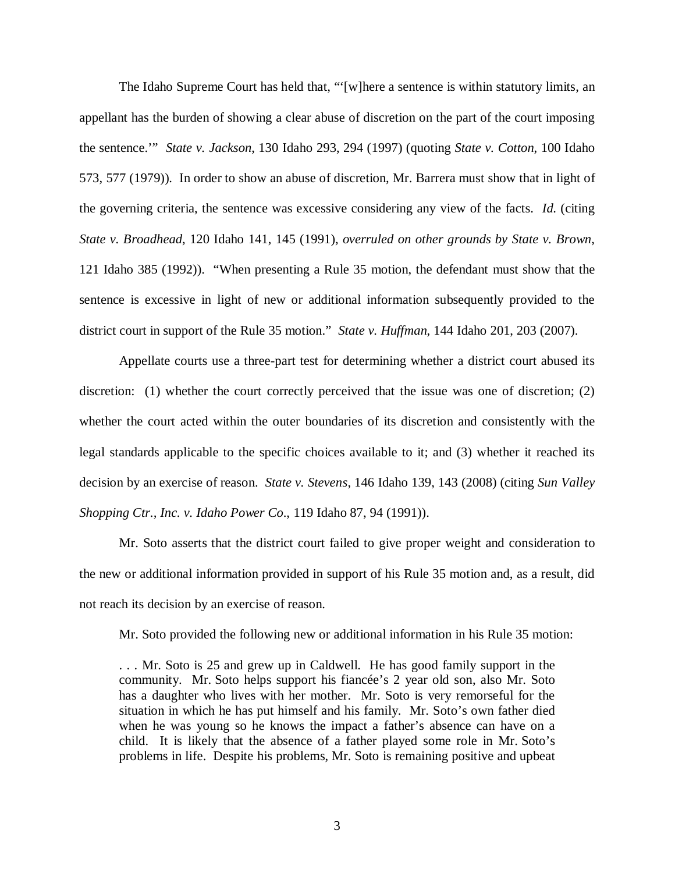The Idaho Supreme Court has held that, "'[w]here a sentence is within statutory limits, an appellant has the burden of showing a clear abuse of discretion on the part of the court imposing the sentence.'" *State v. Jackson*, 130 Idaho 293, 294 (1997) (quoting *State v. Cotton*, 100 Idaho 573, 577 (1979)). In order to show an abuse of discretion, Mr. Barrera must show that in light of the governing criteria, the sentence was excessive considering any view of the facts. *Id*. (citing *State v. Broadhead*, 120 Idaho 141, 145 (1991), *overruled on other grounds by State v. Brown*, 121 Idaho 385 (1992)). "When presenting a Rule 35 motion, the defendant must show that the sentence is excessive in light of new or additional information subsequently provided to the district court in support of the Rule 35 motion." *State v. Huffman*, 144 Idaho 201, 203 (2007).

Appellate courts use a three-part test for determining whether a district court abused its discretion: (1) whether the court correctly perceived that the issue was one of discretion; (2) whether the court acted within the outer boundaries of its discretion and consistently with the legal standards applicable to the specific choices available to it; and (3) whether it reached its decision by an exercise of reason. *State v. Stevens*, 146 Idaho 139, 143 (2008) (citing *[Sun Valley](https://a.next.westlaw.com/Link/Document/FullText?findType=Y&serNum=1991020453&pubNum=661&originatingDoc=Ib1fc665a58e011ddbc7bf97f340af743&refType=RP&fi=co_pp_sp_661_1000&originationContext=document&transitionType=DocumentItem&contextData=(sc.Folder*cid.e4ef799cd44b4f4184ec493464b042f9*oc.Search)#co_pp_sp_661_1000) [Shopping Ctr., Inc. v. Idaho Power Co](https://a.next.westlaw.com/Link/Document/FullText?findType=Y&serNum=1991020453&pubNum=661&originatingDoc=Ib1fc665a58e011ddbc7bf97f340af743&refType=RP&fi=co_pp_sp_661_1000&originationContext=document&transitionType=DocumentItem&contextData=(sc.Folder*cid.e4ef799cd44b4f4184ec493464b042f9*oc.Search)#co_pp_sp_661_1000)*., 119 Idaho 87, 94 (1991)).

Mr. Soto asserts that the district court failed to give proper weight and consideration to the new or additional information provided in support of his Rule 35 motion and, as a result, did not reach its decision by an exercise of reason.

Mr. Soto provided the following new or additional information in his Rule 35 motion:

. . . Mr. Soto is 25 and grew up in Caldwell. He has good family support in the community. Mr. Soto helps support his fiancée's 2 year old son, also Mr. Soto has a daughter who lives with her mother. Mr. Soto is very remorseful for the situation in which he has put himself and his family. Mr. Soto's own father died when he was young so he knows the impact a father's absence can have on a child. It is likely that the absence of a father played some role in Mr. Soto's problems in life. Despite his problems, Mr. Soto is remaining positive and upbeat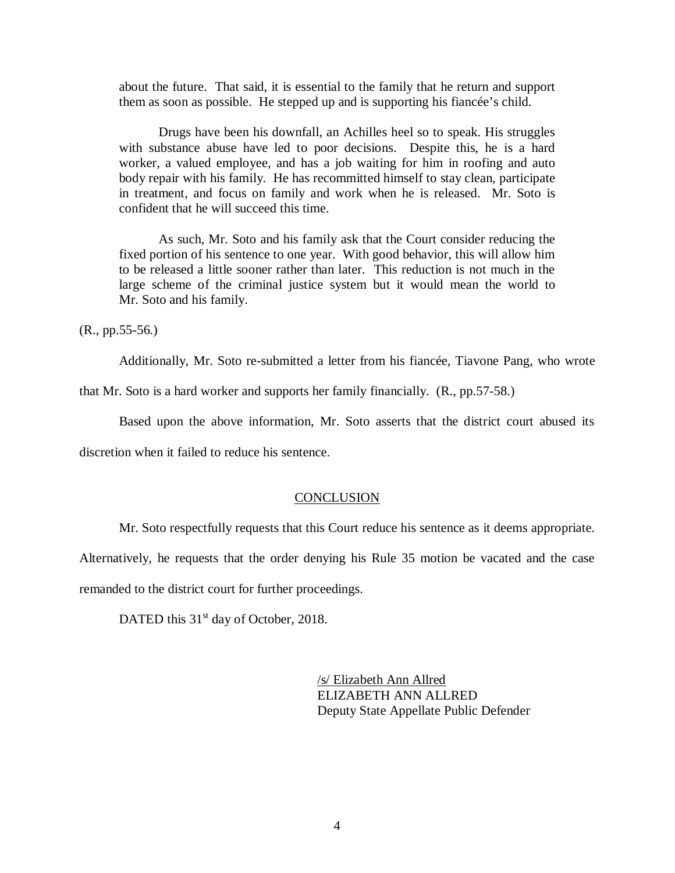about the future. That said, it is essential to the family that he return and support them as soon as possible. He stepped up and is supporting his fiancée's child.

Drugs have been his downfall, an Achilles heel so to speak. His struggles with substance abuse have led to poor decisions. Despite this, he is a hard worker, a valued employee, and has a job waiting for him in roofing and auto body repair with his family. He has recommitted himself to stay clean, participate in treatment, and focus on family and work when he is released. Mr. Soto is confident that he will succeed this time.

As such, Mr. Soto and his family ask that the Court consider reducing the fixed portion of his sentence to one year. With good behavior, this will allow him to be released a little sooner rather than later. This reduction is not much in the large scheme of the criminal justice system but it would mean the world to Mr. Soto and his family.

(R., pp.55-56.)

Additionally, Mr. Soto re-submitted a letter from his fiancée, Tiavone Pang, who wrote

that Mr. Soto is a hard worker and supports her family financially. (R., pp.57-58.)

Based upon the above information, Mr. Soto asserts that the district court abused its

discretion when it failed to reduce his sentence.

### **CONCLUSION**

Mr. Soto respectfully requests that this Court reduce his sentence as it deems appropriate.

Alternatively, he requests that the order denying his Rule 35 motion be vacated and the case remanded to the district court for further proceedings.

DATED this 31<sup>st</sup> day of October, 2018.

/s/ Elizabeth Ann Allred ELIZABETH ANN ALLRED Deputy State Appellate Public Defender